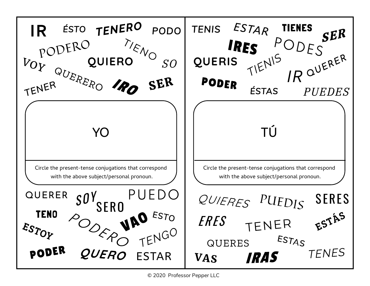

© 2020 Professor Pepper LLC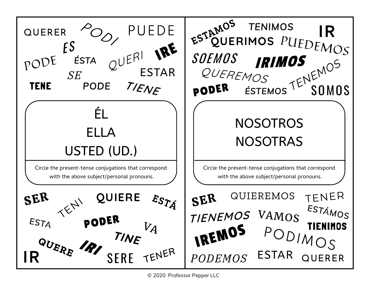

<sup>© 2020</sup> Professor Pepper LLC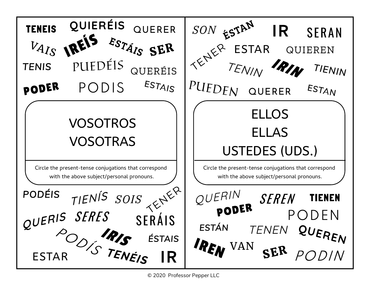**QUIERÉIS** QUERER *SON* TENEIS QUIE **IR SERAN** ESTÁIS SER ESTAR QUIEREN PUEDÉIS TENIN *TENIS*  QUERÉIS TIENIN ESTAIS PUEDEN PODER PODIS ESTAN QUERER ELLOS VOSOTROS ELLAS VOSOTRAS USTEDES (UDS.) Circle the present-tense conjugations that correspond Circle the present-tense conjugations that correspond with the above subject/personal pronouns. with the above subject/personal pronouns. *PODÉIS* OUERIN *SOIS* **SEREN** TIENEN PODER QUERIS SERES PODEN **SERÁIS** UL<sub>I</sub><br>ESTAR STENEIS *TENEN ESTÁN*  QUEREN *ÉSTAIS*  IREN VAN POD IN

© 2020 Professor Pepper LLC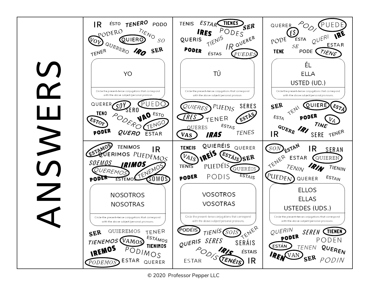**ROSMERS**  $\geqslant$ Z



© 2020 Professor Pepper LLC